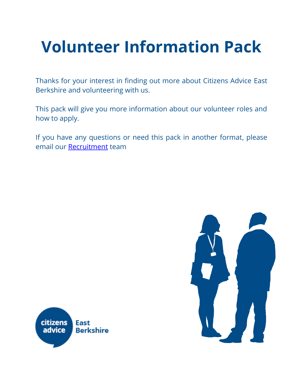# **Volunteer Information Pack**

Thanks for your interest in finding out more about Citizens Advice East Berkshire and volunteering with us.

This pack will give you more information about our volunteer roles and how to apply.

If you have any questions or need this pack in another format, please email our [Recruitment](mailto:Recruitment%20%3crecruitment@caeb.org.uk%3e) team



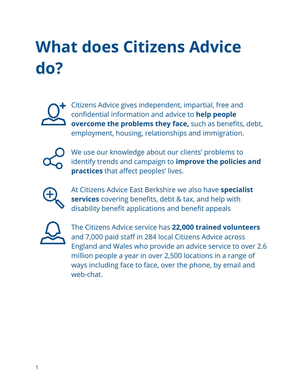# **What does Citizens Advice do?**



Citizens Advice gives independent, impartial, free and confidential information and advice to **help people overcome the problems they face,** such as benefits, debt, employment, housing, relationships and immigration.



We use our knowledge about our clients' problems to identify trends and campaign to **improve the policies and practices** that affect peoples' lives.



At Citizens Advice East Berkshire we also have **specialist services** covering benefits, debt & tax, and help with disability benefit applications and benefit appeals



The Citizens Advice service has **22,000 trained volunteers** and 7,000 paid staff in 284 local Citizens Advice across England and Wales who provide an advice service to over 2.6 million people a year in over 2,500 locations in a range of ways including face to face, over the phone, by email and web-chat.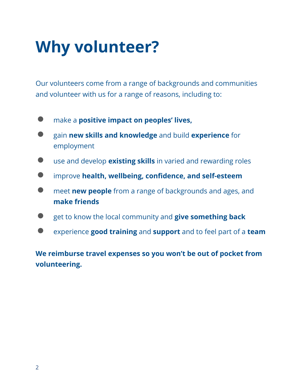### **Why volunteer?**

Our volunteers come from a range of backgrounds and communities and volunteer with us for a range of reasons, including to:

- make a **positive impact on peoples' lives,**
- gain **new skills and knowledge** and build **experience** for employment
- use and develop **existing skills** in varied and rewarding roles
- improve **health, wellbeing, confidence, and self-esteem**
- meet **new people** from a range of backgrounds and ages, and **make friends**
- get to know the local community and **give something back**
- experience **good training** and **support** and to feel part of a **team**

**We reimburse travel expenses so you won't be out of pocket from volunteering.**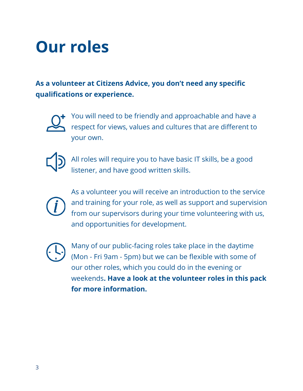### **Our roles**

**As a volunteer at Citizens Advice, you don't need any specific qualifications or experience.** 



You will need to be friendly and approachable and have a respect for views, values and cultures that are different to your own.



All roles will require you to have basic IT skills, be a good listener, and have good written skills.



As a volunteer you will receive an introduction to the service and training for your role, as well as support and supervision from our supervisors during your time volunteering with us, and opportunities for development.



Many of our public-facing roles take place in the daytime (Mon - Fri 9am - 5pm) but we can be flexible with some of our other roles, which you could do in the evening or weekends**. Have a look at the volunteer roles in this pack for more information.**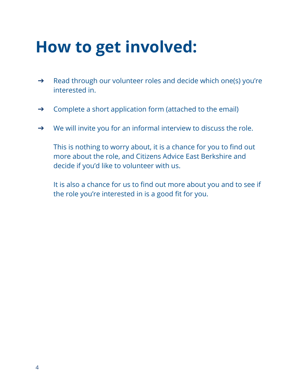### **How to get involved:**

- ➔ Read through our volunteer roles and decide which one(s) you're interested in.
- ➔ Complete a short application form (attached to the email)
- $\rightarrow$  We will invite you for an informal interview to discuss the role.

This is nothing to worry about, it is a chance for you to find out more about the role, and Citizens Advice East Berkshire and decide if you'd like to volunteer with us.

It is also a chance for us to find out more about you and to see if the role you're interested in is a good fit for you.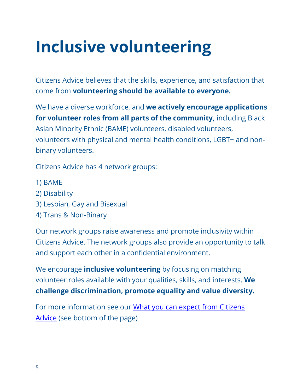## **Inclusive volunteering**

Citizens Advice believes that the skills, experience, and satisfaction that come from **volunteering should be available to everyone.**

We have a diverse workforce, and **we actively encourage applications for volunteer roles from all parts of the community,** including Black Asian Minority Ethnic (BAME) volunteers, disabled volunteers, volunteers with physical and mental health conditions, LGBT+ and nonbinary volunteers.

Citizens Advice has 4 network groups:

- 1) BAME
- 2) Disability
- 3) Lesbian, Gay and Bisexual
- 4) Trans & Non-Binary

Our network groups raise awareness and promote inclusivity within Citizens Advice. The network groups also provide an opportunity to talk and support each other in a confidential environment.

We encourage **inclusive volunteering** by focusing on matching volunteer roles available with your qualities, skills, and interests. **We challenge discrimination, promote equality and value diversity.** 

For more information see our What you can expect from Citizens [Advice](https://www.citizensadvice.org.uk/about-us/support-us/volunteering/volunteering_disabilities/) (see bottom of the page)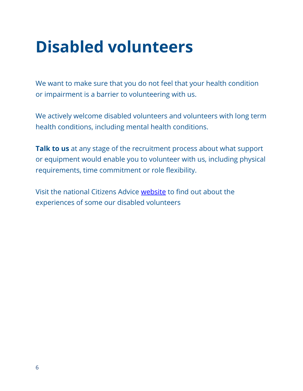### **Disabled volunteers**

We want to make sure that you do not feel that your health condition or impairment is a barrier to volunteering with us.

We actively welcome disabled volunteers and volunteers with long term health conditions, including mental health conditions.

**Talk to us** at any stage of the recruitment process about what support or equipment would enable you to volunteer with us, including physical requirements, time commitment or role flexibility.

Visit the national Citizens Advice [website](https://www.citizensadvice.org.uk/about-us/support-us/volunteering/volunteering_disabilities/) to find out about the experiences of some our disabled volunteers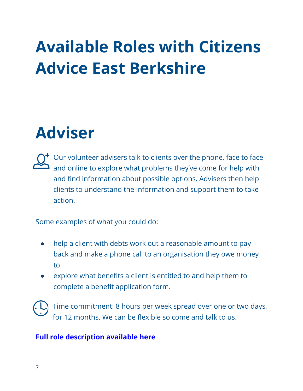# **Available Roles with Citizens Advice East Berkshire**

### **Adviser**

 $\bigcap$ <sup>+</sup> Our volunteer advisers talk to clients over the phone, face to face and online to explore what problems they've come for help with and find information about possible options. Advisers then help clients to understand the information and support them to take action.

Some examples of what you could do:

- help a client with debts work out a reasonable amount to pay back and make a phone call to an organisation they owe money to.
- explore what benefits a client is entitled to and help them to complete a benefit application form.

Time commitment: 8 hours per week spread over one or two days, for 12 months. We can be flexible so come and talk to us.

#### **[Full role description available](https://view.officeapps.live.com/op/view.aspx?src=https%3A%2F%2Fcaeb.org.uk%2Fwp-content%2Fuploads%2F2022%2F03%2FJD-Volunteer-Advisor-March-2022-FINAL.docx&wdOrigin=BROWSELINK) here**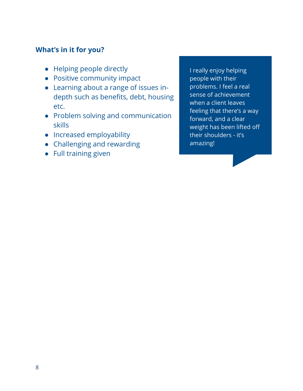#### **What's in it for you?**

- Helping people directly
- Positive community impact
- Learning about a range of issues indepth such as benefits, debt, housing etc.
- Problem solving and communication skills
- Increased employability
- Challenging and rewarding
- Full training given

I really enjoy helping people with their problems. I feel a real sense of achievement when a client leaves feeling that there's a way forward, and a clear weight has been lifted off their shoulders - it's amazing!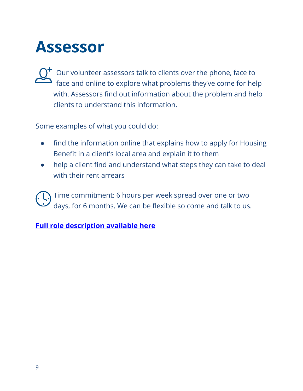### **Assessor**

Our volunteer assessors talk to clients over the phone, face to face and online to explore what problems they've come for help with. Assessors find out information about the problem and help clients to understand this information.

Some examples of what you could do:

- find the information online that explains how to apply for Housing Benefit in a client's local area and explain it to them
- help a client find and understand what steps they can take to deal with their rent arrears

Time commitment: 6 hours per week spread over one or two days, for 6 months. We can be flexible so come and talk to us.

**[Full role description available](https://view.officeapps.live.com/op/view.aspx?src=https%3A%2F%2Fcaeb.org.uk%2Fwp-content%2Fuploads%2F2022%2F03%2FJD-Volunteer-Assessor-March-2022-FINAL.docx&wdOrigin=BROWSELINK) here**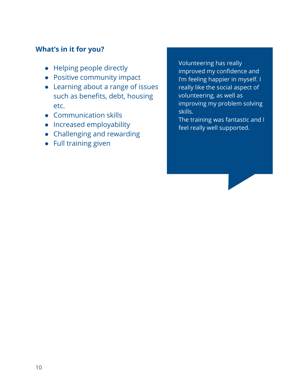#### **What's in it for you?**

- Helping people directly
- Positive community impact
- Learning about a range of issues such as benefits, debt, housing etc.
- Communication skills
- Increased employability
- Challenging and rewarding
- Full training given

Volunteering has really improved my confidence and I'm feeling happier in myself. I really like the social aspect of volunteering, as well as improving my problem solving skills.

The training was fantastic and I feel really well supported.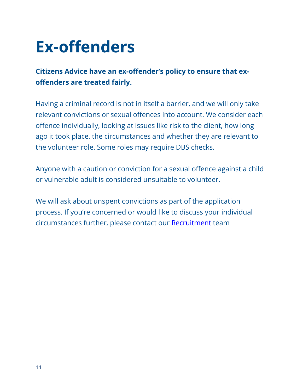### **Ex-offenders**

#### **Citizens Advice have an ex-offender's policy to ensure that exoffenders are treated fairly.**

Having a criminal record is not in itself a barrier, and we will only take relevant convictions or sexual offences into account. We consider each offence individually, looking at issues like risk to the client, how long ago it took place, the circumstances and whether they are relevant to the volunteer role. Some roles may require DBS checks.

Anyone with a caution or conviction for a sexual offence against a child or vulnerable adult is considered unsuitable to volunteer.

We will ask about unspent convictions as part of the application process. If you're concerned or would like to discuss your individual circumstances further, please contact our [Recruitment](mailto:Recruitment%20%3crecruitment@caeb.org.uk%3e) team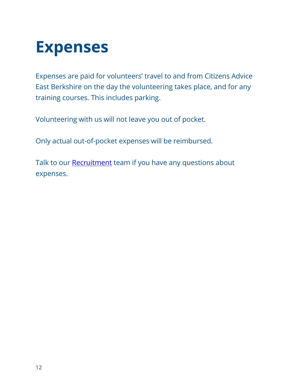### **Expenses**

Expenses are paid for volunteers' travel to and from Citizens Advice East Berkshire on the day the volunteering takes place, and for any training courses. This includes parking.

Volunteering with us will not leave you out of pocket.

Only actual out-of-pocket expenses will be reimbursed.

Talk to our [Recruitment](mailto:Recruitment%20%3crecruitment@caeb.org.uk%3e) team if you have any questions about expenses.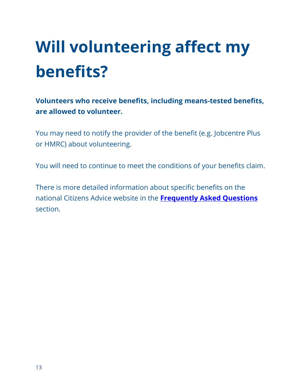# **Will volunteering affect my benefits?**

**Volunteers who receive benefits, including means-tested benefits, are allowed to volunteer.**

You may need to notify the provider of the benefit (e.g. Jobcentre Plus or HMRC) about volunteering.

You will need to continue to meet the conditions of your benefits claim.

There is more detailed information about specific benefits on the national Citizens Advice website in the **[Frequently Asked Questions](https://www.citizensadvice.org.uk/about-us/support-us/volunteering/about-volunteering-with-citizens-advice/volunteering_faqs/)** section.